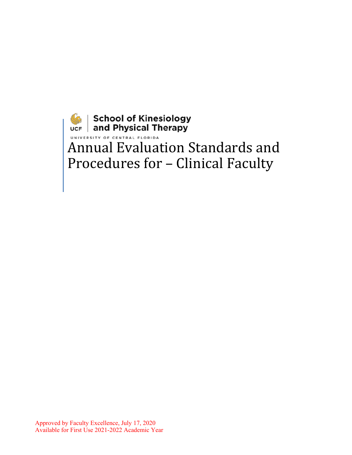**School of Kinesiology**<br>
UNIVERSITY OF CENTRAL FLORIDA<br>
Annual Evaluation Standards and Procedures for – Clinical Faculty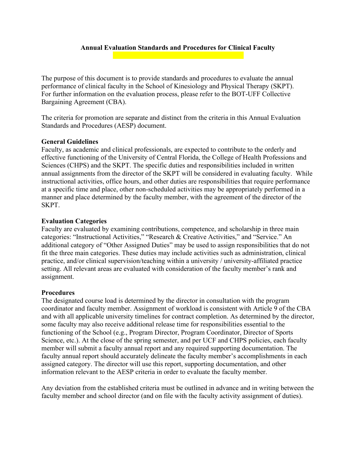# **Annual Evaluation Standards and Procedures for Clinical Faculty**

The purpose of this document is to provide standards and procedures to evaluate the annual performance of clinical faculty in the School of Kinesiology and Physical Therapy (SKPT). For further information on the evaluation process, please refer to the BOT-UFF Collective Bargaining Agreement (CBA).

The criteria for promotion are separate and distinct from the criteria in this Annual Evaluation Standards and Procedures (AESP) document.

# **General Guidelines**

Faculty, as academic and clinical professionals, are expected to contribute to the orderly and effective functioning of the University of Central Florida, the College of Health Professions and Sciences (CHPS) and the SKPT. The specific duties and responsibilities included in written annual assignments from the director of the SKPT will be considered in evaluating faculty. While instructional activities, office hours, and other duties are responsibilities that require performance at a specific time and place, other non-scheduled activities may be appropriately performed in a manner and place determined by the faculty member, with the agreement of the director of the SKPT.

## **Evaluation Categories**

Faculty are evaluated by examining contributions, competence, and scholarship in three main categories: "Instructional Activities," "Research & Creative Activities," and "Service." An additional category of "Other Assigned Duties" may be used to assign responsibilities that do not fit the three main categories. These duties may include activities such as administration, clinical practice, and/or clinical supervision/teaching within a university / university-affiliated practice setting. All relevant areas are evaluated with consideration of the faculty member's rank and assignment.

### **Procedures**

The designated course load is determined by the director in consultation with the program coordinator and faculty member. Assignment of workload is consistent with Article 9 of the CBA and with all applicable university timelines for contract completion. As determined by the director, some faculty may also receive additional release time for responsibilities essential to the functioning of the School (e.g., Program Director, Program Coordinator, Director of Sports Science, etc.). At the close of the spring semester, and per UCF and CHPS policies, each faculty member will submit a faculty annual report and any required supporting documentation. The faculty annual report should accurately delineate the faculty member's accomplishments in each assigned category. The director will use this report, supporting documentation, and other information relevant to the AESP criteria in order to evaluate the faculty member.

Any deviation from the established criteria must be outlined in advance and in writing between the faculty member and school director (and on file with the faculty activity assignment of duties).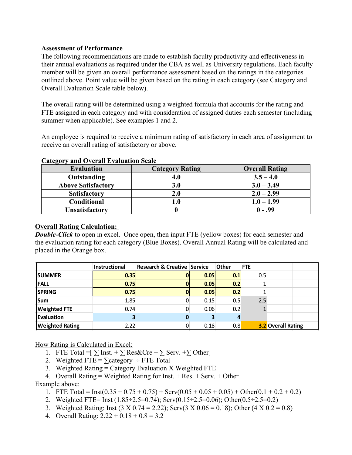# **Assessment of Performance**

The following recommendations are made to establish faculty productivity and effectiveness in their annual evaluations as required under the CBA as well as University regulations. Each faculty member will be given an overall performance assessment based on the ratings in the categories outlined above. Point value will be given based on the rating in each category (see Category and Overall Evaluation Scale table below).

The overall rating will be determined using a weighted formula that accounts for the rating and FTE assigned in each category and with consideration of assigned duties each semester (including summer when applicable). See examples 1 and 2.

An employee is required to receive a minimum rating of satisfactory in each area of assignment to receive an overall rating of satisfactory or above.

| $   -$<br>                |                        |                       |  |
|---------------------------|------------------------|-----------------------|--|
| <b>Evaluation</b>         | <b>Category Rating</b> | <b>Overall Rating</b> |  |
| Outstanding               | 4.0                    | $3.5 - 4.0$           |  |
| <b>Above Satisfactory</b> | <b>3.0</b>             | $3.0 - 3.49$          |  |
| <b>Satisfactory</b>       | 2.0                    | $2.0 - 2.99$          |  |
| Conditional               | l.0                    | $1.0 - 1.99$          |  |
| <b>Unsatisfactory</b>     |                        | $0 - .99$             |  |

## **Category and Overall Evaluation Scale**

# **Overall Rating Calculation:**

**Double-Click** to open in excel. Once open, then input FTE (yellow boxes) for each semester and the evaluation rating for each category (Blue Boxes). Overall Annual Rating will be calculated and placed in the Orange box.

|                        | Instructional | Research & Creative Service |      | <b>Other</b> | <b>FTE</b> |                           |  |
|------------------------|---------------|-----------------------------|------|--------------|------------|---------------------------|--|
| <b>ISUMMER</b>         | 0.35          | U                           | 0.05 | 0.1          | 0.5        |                           |  |
| <b>FALL</b>            | 0.75          | U                           | 0.05 | 0.2          |            |                           |  |
| <b>SPRING</b>          | 0.75          |                             | 0.05 | 0.2          |            |                           |  |
| Sum                    | 1.85          | 0                           | 0.15 | 0.5          | 2.5        |                           |  |
| <b>Weighted FTE</b>    | 0.74          | 0                           | 0.06 | 0.2          |            |                           |  |
| <b>Evaluation</b>      |               | 0                           |      | 4            |            |                           |  |
| <b>Weighted Rating</b> | 2.22          | 0                           | 0.18 | 0.8          |            | <b>3.2 Overall Rating</b> |  |

How Rating is Calculated in Excel:

- 1. FTE Total = $[\sum$  Inst. +  $\sum$  Res&Cre +  $\sum$  Serv. + $\sum$  Other]
- 2. Weighted FTE =  $\sum \text{category}$  ÷ FTE Total
- 3. Weighted Rating = Category Evaluation X Weighted FTE
- 4. Overall Rating = Weighted Rating for Inst. + Res. + Serv. + Other

Example above:

- 1. FTE Total = Inst( $0.35 + 0.75 + 0.75$ ) + Serv( $0.05 + 0.05 + 0.05$ ) + Other( $0.1 + 0.2 + 0.2$ )
- 2. Weighted FTE= Inst  $(1.85 \div 2.5 = 0.74)$ ; Serv $(0.15 \div 2.5 = 0.06)$ ; Other $(0.5 \div 2.5 = 0.2)$
- 3. Weighted Rating: Inst  $(3 \times 0.74 = 2.22)$ ; Serv $(3 \times 0.06 = 0.18)$ ; Other  $(4 \times 0.2 = 0.8)$
- 4. Overall Rating:  $2.22 + 0.18 + 0.8 = 3.2$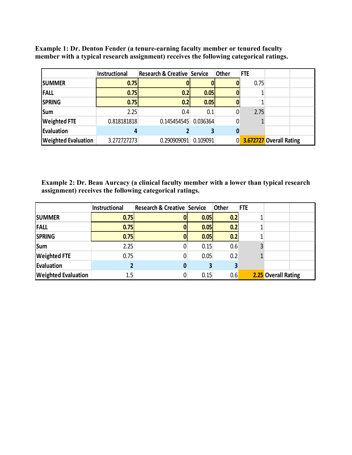|                            | Instructional | <b>Research &amp; Creative Service</b> |          | <b>Other</b> | <b>FTE</b> |                         |
|----------------------------|---------------|----------------------------------------|----------|--------------|------------|-------------------------|
| <b>ISUMMER</b>             | 0.75          |                                        |          |              | 0.75       |                         |
| <b>FALL</b>                | 0.75          | 0.2 <sub>l</sub>                       | 0.05     |              |            |                         |
| <b>SPRING</b>              | 0.75          | 0.2                                    | 0.05     |              |            |                         |
| <b>Sum</b>                 | 2.25          | 0.4                                    | 0.1      |              | 2.75       |                         |
| <b>Weighted FTE</b>        | 0.818181818   | 0.145454545                            | 0.036364 |              |            |                         |
| Evaluation                 |               |                                        |          |              |            |                         |
| <b>Weighted Evaluation</b> | 3.272727273   | 0.290909091                            | 0.109091 | 0            |            | 3.672727 Overall Rating |

**Example 1: Dr. Denton Fender (a tenure-earning faculty member or tenured faculty member with a typical research assignment) receives the following categorical ratings.**

**Example 2: Dr. Beau Aurcacy (a clinical faculty member with a lower than typical research assignment) receives the following categorical ratings.**

|                            | Instructional | <b>Research &amp; Creative Service</b> |      | <b>Other</b> | <b>FTE</b> |                     |
|----------------------------|---------------|----------------------------------------|------|--------------|------------|---------------------|
| <b>SUMMER</b>              | 0.75          |                                        | 0.05 | 0.2          |            |                     |
| <b>FALL</b>                | 0.75          |                                        | 0.05 | 0.2          |            |                     |
| <b>SPRING</b>              | 0.75          |                                        | 0.05 | 0.2          |            |                     |
| <b>Sum</b>                 | 2.25          |                                        | 0.15 | 0.6          |            |                     |
| <b>Weighted FTE</b>        | 0.75          | 0                                      | 0.05 | 0.2          |            |                     |
| Evaluation                 |               | 0                                      |      |              |            |                     |
| <b>Weighted Evaluation</b> | 1.5           | 0                                      | 0.15 | 0.6          |            | 2.25 Overall Rating |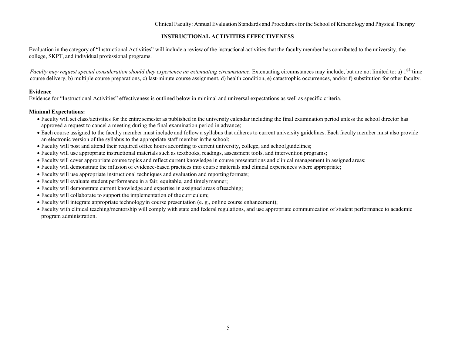Clinical Faculty: Annual Evaluation Standards and Proceduresfor the School of Kinesiology and Physical Therapy

### **INSTRUCTIONAL ACTIVITIES EFFECTIVENESS**

Evaluation in the category of "Instructional Activities" will include a review of the instructional activities that the faculty member has contributed to the university, the college, SKPT, and individual professional programs.

Faculty may request special consideration should they experience an extenuating circumstance. Extenuating circumstances may include, but are not limited to: a) 1<sup>st-</sup>time course delivery, b) multiple course preparations, c) last-minute course assignment, d) health condition, e) catastrophic occurrences, and/or f) substitution for other faculty.

#### **Evidence**

Evidence for "Instructional Activities" effectiveness is outlined below in minimal and universal expectations as well as specific criteria.

#### **Minimal Expectations:**

- Faculty will set class/activities for the entire semester as published in the university calendar including the final examination period unless the school director has approved a request to cancel a meeting during the final examination period in advance;
- Each course assigned to the faculty member must include and follow a syllabus that adheres to current university guidelines. Each faculty member must also provide an electronic version of the syllabus to the appropriate staff member inthe school;
- Faculty will post and attend their required office hours according to current university, college, and schoolguidelines;
- Faculty will use appropriate instructional materials such as textbooks, readings, assessment tools, and intervention programs;
- Faculty will cover appropriate course topics and reflect current knowledge in course presentations and clinical management in assigned areas;
- Faculty will demonstrate the infusion of evidence-based practices into course materials and clinical experiences where appropriate;
- Faculty will use appropriate instructional techniques and evaluation and reportingformats;
- Faculty will evaluate student performance in a fair, equitable, and timelymanner;
- Faculty will demonstrate current knowledge and expertise in assigned areas ofteaching;
- Faculty will collaborate to support the implementation of the curriculum;
- Faculty will integrate appropriate technologyin course presentation (e. g., online course enhancement);
- Faculty with clinical teaching/mentorship will comply with state and federal regulations, and use appropriate communication of student performance to academic program administration.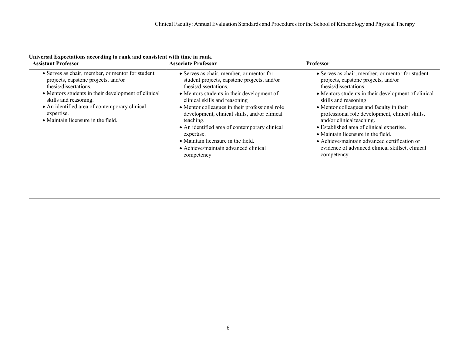| <b>Assistant Professor</b>                                                                                                                                                                                                                                                                            | <b>Associate Professor</b>                                                                                                                                                                                                                                                                                                                                                                                                                                                 | <b>Professor</b>                                                                                                                                                                                                                                                                                                                                                                                                                                                                                                                 |
|-------------------------------------------------------------------------------------------------------------------------------------------------------------------------------------------------------------------------------------------------------------------------------------------------------|----------------------------------------------------------------------------------------------------------------------------------------------------------------------------------------------------------------------------------------------------------------------------------------------------------------------------------------------------------------------------------------------------------------------------------------------------------------------------|----------------------------------------------------------------------------------------------------------------------------------------------------------------------------------------------------------------------------------------------------------------------------------------------------------------------------------------------------------------------------------------------------------------------------------------------------------------------------------------------------------------------------------|
| • Serves as chair, member, or mentor for student<br>projects, capstone projects, and/or<br>thesis/dissertations.<br>• Mentors students in their development of clinical<br>skills and reasoning.<br>• An identified area of contemporary clinical<br>expertise.<br>· Maintain licensure in the field. | • Serves as chair, member, or mentor for<br>student projects, capstone projects, and/or<br>thesis/dissertations.<br>• Mentors students in their development of<br>clinical skills and reasoning<br>• Mentor colleagues in their professional role<br>development, clinical skills, and/or clinical<br>teaching.<br>• An identified area of contemporary clinical<br>expertise.<br>• Maintain licensure in the field.<br>• Achieve/maintain advanced clinical<br>competency | • Serves as chair, member, or mentor for student<br>projects, capstone projects, and/or<br>thesis/dissertations.<br>• Mentors students in their development of clinical<br>skills and reasoning<br>• Mentor colleagues and faculty in their<br>professional role development, clinical skills,<br>and/or clinical teaching.<br>• Established area of clinical expertise.<br>• Maintain licensure in the field.<br>• Achieve/maintain advanced certification or<br>evidence of advanced clinical skillset, clinical<br>competency |

**Universal Expectations according to rank and consistent with time in rank.**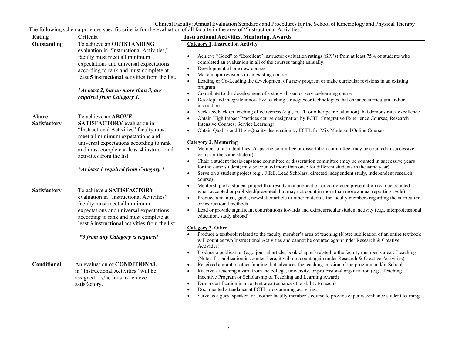Clinical Faculty: Annual Evaluation Standards and Proceduresfor the School of Kinesiology and Physical Therapy The following schema provides specific criteria for the evaluation of all faculty in the area of "Instructional Activities."

| Rating               | Criteria                                                                                                                                                                                                                                                                                                                                           | <b>Instructional Activities, Mentoring, Awards</b>                                                                                                                                                                                                                                                                                                                                                                                                                                                                                                                                                                                                                                                                                                                                                                                                                                                                                   |
|----------------------|----------------------------------------------------------------------------------------------------------------------------------------------------------------------------------------------------------------------------------------------------------------------------------------------------------------------------------------------------|--------------------------------------------------------------------------------------------------------------------------------------------------------------------------------------------------------------------------------------------------------------------------------------------------------------------------------------------------------------------------------------------------------------------------------------------------------------------------------------------------------------------------------------------------------------------------------------------------------------------------------------------------------------------------------------------------------------------------------------------------------------------------------------------------------------------------------------------------------------------------------------------------------------------------------------|
| Outstanding<br>Above | To achieve an OUTSTANDING<br>evaluation in "Instructional Activities,"<br>faculty must meet all minimum<br>expectations and universal expectations<br>according to rank and must complete at<br>least 5 instructional activities from the list.<br>*At least 2, but no more than 3, are<br>required from Category 1.<br>To achieve an <b>ABOVE</b> | <b>Category 1. Instruction Activity</b><br>Achieve "Good" to "Excellent" instructor evaluation ratings (SPI's) from at least 75% of students who<br>completed an evaluation in all of the courses taught annually.<br>Development of one new course<br>$\bullet$<br>Make major revisions in an existing course<br>$\bullet$<br>Leading or Co-Leading the development of a new program or make curricular revisions in an existing<br>$\bullet$<br>program<br>Contribute to the development of a study abroad or service-learning course<br>$\bullet$<br>Develop and integrate innovative teaching strategies or technologies that enhance curriculum and/or<br>$\bullet$<br>instruction<br>Seek feedback on teaching effectiveness (e.g., FCTL or other peer evaluation) that demonstrates excellence<br>$\bullet$<br>Obtain High Impact Practices course designation by FCTL (Integrative Experience Courses; Research<br>$\bullet$ |
| Satisfactory         | <b>SATISFACTORY</b> evaluation in<br>"Instructional Activities" faculty must<br>meet all minimum expectations and<br>universal expectations according to rank<br>and must complete at least 4 instructional<br>activities from the list<br>*At least 1 required from Category 1                                                                    | Intensive Courses; Service Learning).<br>Obtain Quality and High-Quality designation by FCTL for Mix Mode and Online Courses.<br>$\bullet$<br><b>Category 2. Mentoring</b><br>Member of a student thesis/capstone committee or dissertation committee (may be counted in successive<br>$\bullet$<br>years for the same student)<br>Chair a student thesis/capstone committee or dissertation committee (may be counted in successive years<br>$\bullet$<br>for the same student; may be counted more than once for different students in the same year)<br>Serve on a student project (e.g., FIRE, Lead Scholars, directed independent study, independent research<br>$\bullet$<br>course)<br>Mentorship of a student project that results in a publication or conference presentation (can be counted<br>$\bullet$                                                                                                                  |
| Satisfactory         | To achieve a SATISFACTORY<br>evaluation in "Instructional Activities"<br>faculty must meet all minimum<br>expectations and universal expectations<br>according to rank and must complete at<br>least 3 instructional activities from the list<br>*3 from any Category is required                                                                  | when accepted or published/presented, but may not count in more than more annual reporting cycle)<br>Produce a manual, guide, newsletter article or other materials for faculty members regarding the curriculum<br>$\bullet$<br>or instructional methods<br>Lead or provide significant contributions towards and extracurricular student activity (e.g., interprofessional<br>$\bullet$<br>education, study abroad)<br>Category 3. Other<br>Produce a textbook related to the faculty member's area of teaching (Note: publication of an entire textbook<br>$\bullet$<br>will count as two Instructional Activities and cannot be counted again under Research & Creative<br>Activities)<br>Produce a publication (e.g., journal article, book chapter) related to the faculty member's area of teaching<br>$\bullet$<br>(Note: if a publication is counted here, it will not count again under Research & Creative Activities)    |
| Conditional          | An evaluation of CONDITIONAL<br>in "Instructional Activities" will be<br>assigned if s/he fails to achieve<br>satisfactory.                                                                                                                                                                                                                        | Received a grant or other funding that advances the teaching mission of the program and/or School<br>$\bullet$<br>Receive a teaching award from the college, university, or professional organization (e.g., Teaching<br>$\bullet$<br>Incentive Program or Scholarship of Teaching and Learning Award)<br>Earn a certification in a content area (enhances the ability to teach)<br>$\bullet$<br>Documented attendance at FCTL programming activities.<br>$\bullet$<br>Serve as a guest speaker for another faculty member's course to provide expertise/enhance student learning<br>$\bullet$                                                                                                                                                                                                                                                                                                                                       |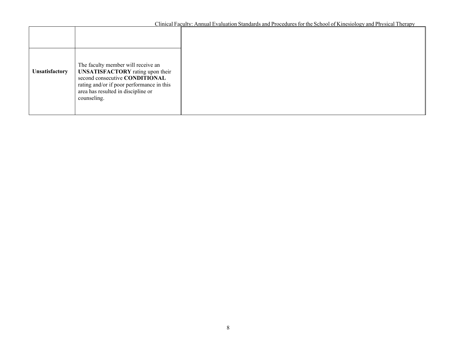Clinical Faculty: Annual Evaluation Standards and Procedures for the School of Kinesiology and Physical Therapy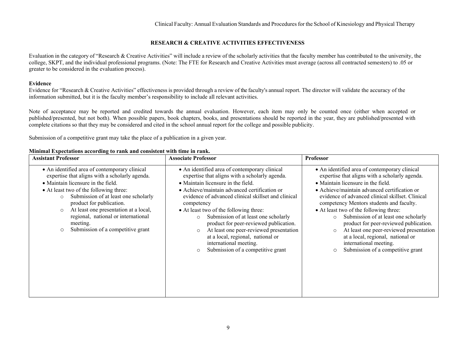### **RESEARCH & CREATIVE ACTIVITIES EFFECTIVENESS**

Evaluation in the category of "Research & Creative Activities" will include a review of the scholarly activities that the faculty member has contributed to the university, the college, SKPT, and the individual professional programs. (Note: The FTE for Research and Creative Activities must average (across all contracted semesters) to .05 or greater to be considered in the evaluation process).

### **Evidence**

Evidence for "Research & Creative Activities" effectiveness is provided through a review of the faculty's annual report. The director will validate the accuracy of the information submitted, but it is the faculty member's responsibility to include all relevant activities.

Note of acceptance may be reported and credited towards the annual evaluation. However, each item may only be counted once (either when accepted or published/presented, but not both). When possible papers, book chapters, books, and presentations should be reported in the year, they are published/presented with complete citations so that they may be considered and cited in the school annual report for the college and possible publicity.

Submission of a competitive grant may take the place of a publication in a given year.

| <b>Assistant Professor</b>                                                                                                                                                                                                                                                                                                                                                                                             | <b>Associate Professor</b>                                                                                                                                                                                                                                                                                                                                                                                                                                                                                                                                             | Professor                                                                                                                                                                                                                                                                                                                                                                                                                                                                                                                                                                                         |
|------------------------------------------------------------------------------------------------------------------------------------------------------------------------------------------------------------------------------------------------------------------------------------------------------------------------------------------------------------------------------------------------------------------------|------------------------------------------------------------------------------------------------------------------------------------------------------------------------------------------------------------------------------------------------------------------------------------------------------------------------------------------------------------------------------------------------------------------------------------------------------------------------------------------------------------------------------------------------------------------------|---------------------------------------------------------------------------------------------------------------------------------------------------------------------------------------------------------------------------------------------------------------------------------------------------------------------------------------------------------------------------------------------------------------------------------------------------------------------------------------------------------------------------------------------------------------------------------------------------|
| • An identified area of contemporary clinical<br>expertise that aligns with a scholarly agenda.<br>• Maintain licensure in the field.<br>• At least two of the following three:<br>Submission of at least one scholarly<br>$\Omega$<br>product for publication.<br>At least one presentation at a local,<br>$\circ$<br>regional, national or international<br>meeting.<br>Submission of a competitive grant<br>$\circ$ | • An identified area of contemporary clinical<br>expertise that aligns with a scholarly agenda.<br>• Maintain licensure in the field.<br>• Achieve/maintain advanced certification or<br>evidence of advanced clinical skillset and clinical<br>competency<br>• At least two of the following three:<br>Submission of at least one scholarly<br>$\circ$<br>product for peer-reviewed publication.<br>At least one peer-reviewed presentation<br>$\circ$<br>at a local, regional, national or<br>international meeting.<br>Submission of a competitive grant<br>$\circ$ | • An identified area of contemporary clinical<br>expertise that aligns with a scholarly agenda.<br>• Maintain licensure in the field.<br>• Achieve/maintain advanced certification or<br>evidence of advanced clinical skillset. Clinical<br>competency Mentors students and faculty.<br>• At least two of the following three:<br>Submission of at least one scholarly<br>$\circ$<br>product for peer-reviewed publication.<br>At least one peer-reviewed presentation<br>$\circ$<br>at a local, regional, national or<br>international meeting.<br>Submission of a competitive grant<br>$\circ$ |

### **Minimal Expectations according to rank and consistent with time in rank.**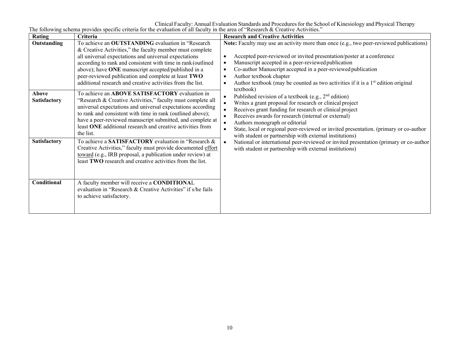Clinical Faculty: Annual Evaluation Standards and Proceduresfor the School of Kinesiology and Physical Therapy The following schema provides specific criteria for the evaluation of all faculty in the area of "Research & Creative Activities."

| Criteria                                                                                                                                                                                                                                                                                                                                                                                                                                                                                                                                                                                                                                                                                                                                                                                     | <b>Research and Creative Activities</b>                                                                                                                                                                                                                                                                                                                                                                                                                                                                                                                                                                                                                                                                                                                                                                                                                                                                                                           |
|----------------------------------------------------------------------------------------------------------------------------------------------------------------------------------------------------------------------------------------------------------------------------------------------------------------------------------------------------------------------------------------------------------------------------------------------------------------------------------------------------------------------------------------------------------------------------------------------------------------------------------------------------------------------------------------------------------------------------------------------------------------------------------------------|---------------------------------------------------------------------------------------------------------------------------------------------------------------------------------------------------------------------------------------------------------------------------------------------------------------------------------------------------------------------------------------------------------------------------------------------------------------------------------------------------------------------------------------------------------------------------------------------------------------------------------------------------------------------------------------------------------------------------------------------------------------------------------------------------------------------------------------------------------------------------------------------------------------------------------------------------|
| To achieve an OUTSTANDING evaluation in "Research<br>& Creative Activities," the faculty member must complete<br>all universal expectations and universal expectations<br>according to rank and consistent with time in rank (outlined<br>above); have ONE manuscript accepted/published in a<br>peer-reviewed publication and complete at least TWO<br>additional research and creative activities from the list.<br>To achieve an ABOVE SATISFACTORY evaluation in<br>"Research & Creative Activities," faculty must complete all<br>universal expectations and universal expectations according<br>to rank and consistent with time in rank (outlined above);<br>have a peer-reviewed manuscript submitted, and complete at<br>least ONE additional research and creative activities from | Note: Faculty may use an activity more than once (e.g., two peer-reviewed publications)<br>Accepted peer-reviewed or invited presentation/poster at a conference<br>$\bullet$<br>Manuscript accepted in a peer-reviewed publication<br>$\bullet$<br>Co-author Manuscript accepted in a peer-reviewed publication<br>$\bullet$<br>Author textbook chapter<br>$\bullet$<br>Author textbook (may be counted as two activities if it is a 1 <sup>st</sup> edition original<br>$\bullet$<br>textbook)<br>Published revision of a textbook (e.g., $2nd$ edition)<br>$\bullet$<br>Writes a grant proposal for research or clinical project<br>$\bullet$<br>Receives grant funding for research or clinical project<br>$\bullet$<br>Receives awards for research (internal or external)<br>$\bullet$<br>Authors monograph or editorial<br>$\bullet$<br>State, local or regional peer-reviewed or invited presentation. (primary or co-author<br>$\bullet$ |
| To achieve a SATISFACTORY evaluation in "Research &<br>Creative Activities," faculty must provide documented effort<br>toward (e.g., IRB proposal, a publication under review) at<br>least TWO research and creative activities from the list.<br>A faculty member will receive a CONDITIONAL<br>evaluation in "Research & Creative Activities" if s/he fails<br>to achieve satisfactory.                                                                                                                                                                                                                                                                                                                                                                                                    | with student or partnership with external institutions)<br>National or international peer-reviewed or invited presentation (primary or co-author<br>$\bullet$<br>with student or partnership with external institutions)                                                                                                                                                                                                                                                                                                                                                                                                                                                                                                                                                                                                                                                                                                                          |
|                                                                                                                                                                                                                                                                                                                                                                                                                                                                                                                                                                                                                                                                                                                                                                                              | the list.                                                                                                                                                                                                                                                                                                                                                                                                                                                                                                                                                                                                                                                                                                                                                                                                                                                                                                                                         |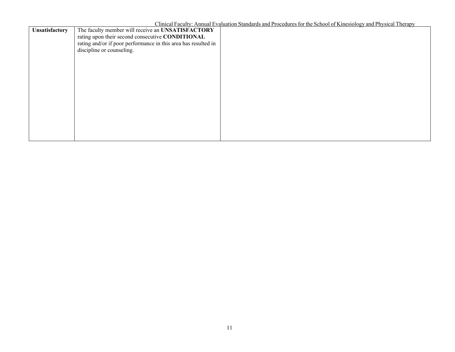| Unsatisfactory | The faculty member will receive an UNSATISFACTORY              |  |
|----------------|----------------------------------------------------------------|--|
|                | rating upon their second consecutive CONDITIONAL               |  |
|                | rating and/or if poor performance in this area has resulted in |  |
|                |                                                                |  |
|                | discipline or counseling.                                      |  |
|                |                                                                |  |
|                |                                                                |  |
|                |                                                                |  |
|                |                                                                |  |
|                |                                                                |  |
|                |                                                                |  |
|                |                                                                |  |
|                |                                                                |  |
|                |                                                                |  |
|                |                                                                |  |
|                |                                                                |  |
|                |                                                                |  |
|                |                                                                |  |
|                |                                                                |  |
|                |                                                                |  |
|                |                                                                |  |
|                |                                                                |  |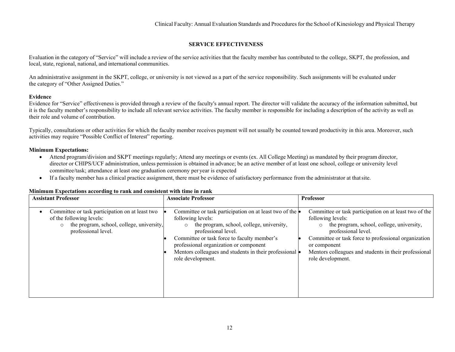### **SERVICE EFFECTIVENESS**

Evaluation in the category of "Service" will include a review of the service activities that the faculty member has contributed to the college, SKPT, the profession, and local, state, regional, national, and international communities.

An administrative assignment in the SKPT, college, or university is not viewed as a part of the service responsibility. Such assignments will be evaluated under the category of "Other Assigned Duties."

### **Evidence**

Evidence for "Service" effectiveness is provided through a review of the faculty's annual report. The director will validate the accuracy of the information submitted, but it is the faculty member's responsibility to include all relevant service activities. The faculty member is responsible for including a description of the activity as well as their role and volume of contribution.

Typically, consultations or other activities for which the faculty member receives payment will not usually be counted toward productivity in this area. Moreover, such activities may require "Possible Conflict of Interest" reporting.

### **Minimum Expectations:**

- Attend program/division and SKPT meetings regularly; Attend any meetings or events (ex. All College Meeting) as mandated by their program director, director or CHIPS/UCF administration, unless permission is obtained in advance; be an active member of at least one school, college or university level committee/task; attendance at least one graduation ceremony per year is expected
- If a faculty member has a clinical practice assignment, there must be evidence of satisfactory performance from the administrator at thatsite.

| <b>Assistant Professor</b>                                                                                                                                 | <b>Associate Professor</b>                                                                                                                                                                                                                                                                                                                 | <b>Professor</b>                                                                                                                                                                                                                                                                                      |
|------------------------------------------------------------------------------------------------------------------------------------------------------------|--------------------------------------------------------------------------------------------------------------------------------------------------------------------------------------------------------------------------------------------------------------------------------------------------------------------------------------------|-------------------------------------------------------------------------------------------------------------------------------------------------------------------------------------------------------------------------------------------------------------------------------------------------------|
| Committee or task participation on at least two<br>of the following levels:<br>the program, school, college, university,<br>$\circ$<br>professional level. | Committee or task participation on at least two of the $\bullet$<br>following levels:<br>the program, school, college, university,<br>professional level.<br>Committee or task force to faculty member's<br>professional organization or component<br>Mentors colleagues and students in their professional $\bullet$<br>role development. | Committee or task participation on at least two of the<br>following levels:<br>the program, school, college, university,<br>professional level.<br>Committee or task force to professional organization<br>or component<br>Mentors colleagues and students in their professional<br>role development. |

### **Minimum Expectations according to rank and consistent with time in rank**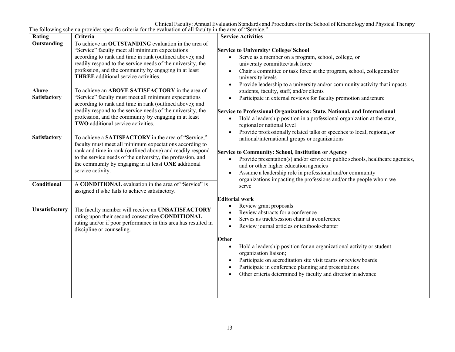Clinical Faculty: Annual Evaluation Standards and Proceduresfor the School of Kinesiology and Physical Therapy The following schema provides specific criteria for the evaluation of all faculty in the area of "Service."

| Rating                       | Criteria                                                                                                                                                                                                                                                                                                                                                                                                                            | <b>Service Activities</b>                                                                                                                                                                                                                                                                                                                                                                              |
|------------------------------|-------------------------------------------------------------------------------------------------------------------------------------------------------------------------------------------------------------------------------------------------------------------------------------------------------------------------------------------------------------------------------------------------------------------------------------|--------------------------------------------------------------------------------------------------------------------------------------------------------------------------------------------------------------------------------------------------------------------------------------------------------------------------------------------------------------------------------------------------------|
| Outstanding                  | To achieve an OUTSTANDING evaluation in the area of<br>"Service" faculty meet all minimum expectations<br>according to rank and time in rank (outlined above); and<br>readily respond to the service needs of the university, the<br>profession, and the community by engaging in at least<br><b>THREE</b> additional service activities.                                                                                           | <b>Service to University/ College/ School</b><br>Serve as a member on a program, school, college, or<br>university committee/task force<br>Chair a committee or task force at the program, school, college and/or<br>$\bullet$<br>university levels<br>Provide leadership to a university and/or community activity that impacts<br>$\bullet$                                                          |
| Above<br><b>Satisfactory</b> | To achieve an ABOVE SATISFACTORY in the area of<br>"Service" faculty must meet all minimum expectations<br>according to rank and time in rank (outlined above); and<br>readily respond to the service needs of the university, the<br>profession, and the community by engaging in at least<br>TWO additional service activities.                                                                                                   | students, faculty, staff, and/or clients<br>Participate in external reviews for faculty promotion and tenure<br>Service to Professional Organizations: State, National, and International<br>Hold a leadership position in a professional organization at the state,<br>regional or national level<br>Provide professionally related talks or speeches to local, regional, or                          |
| Satisfactory<br>Conditional  | To achieve a SATISFACTORY in the area of "Service,"<br>faculty must meet all minimum expectations according to<br>rank and time in rank (outlined above) and readily respond<br>to the service needs of the university, the profession, and<br>the community by engaging in at least ONE additional<br>service activity.<br>A CONDITIONAL evaluation in the area of "Service" is<br>assigned if s/he fails to achieve satisfactory. | national/international groups or organizations<br>Service to Community: School, Institution or Agency<br>Provide presentation(s) and/or service to public schools, healthcare agencies,<br>$\bullet$<br>and or other higher education agencies<br>Assume a leadership role in professional and/or community<br>$\bullet$<br>organizations impacting the professions and/or the people whom we<br>serve |
| Unsatisfactory               | The faculty member will receive an UNSATISFACTORY<br>rating upon their second consecutive CONDITIONAL<br>rating and/or if poor performance in this area has resulted in<br>discipline or counseling.                                                                                                                                                                                                                                | <b>Editorial work</b><br>Review grant proposals<br>Review abstracts for a conference<br>Serves as track/session chair at a conference<br>Review journal articles or textbook/chapter<br>Other<br>Hold a leadership position for an organizational activity or student<br>organization liaison;<br>Participate on accreditation site visit teams or review boards                                       |
|                              |                                                                                                                                                                                                                                                                                                                                                                                                                                     | Participate in conference planning and presentations<br>Other criteria determined by faculty and director in advance                                                                                                                                                                                                                                                                                   |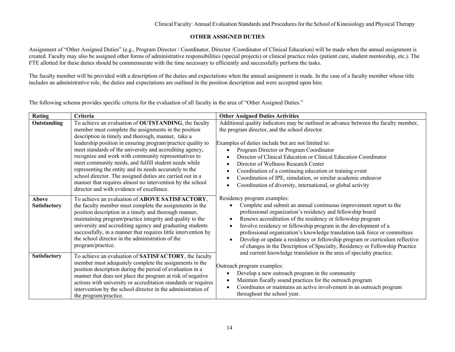### **OTHER ASSIGNED DUTIES**

Assignment of "Other Assigned Duties" (e.g., Program Director / Coordinator, Director /Coordinator of Clinical Education) will be made when the annual assignment is created. Faculty may also be assigned other forms of administrative responsibilities (special projects) or clinical practice roles (patient care, student mentorship, etc.). The FTE allotted for these duties should be commensurate with the time necessary to efficiently and successfully perform the tasks.

The faculty member will be provided with a description of the duties and expectations when the annual assignment is made. In the case of a faculty member whose title includes an administrative role, the duties and expectations are outlined in the position description and were accepted upon hire.

The following schema provides specific criteria for the evaluation of all faculty in the area of "Other Assigned Duties."

| Rating                       | Criteria                                                                                                                                                                                                                                                                                                                                                                                                                                                                                                                                                                                                                                         | <b>Other Assigned Duties Activities</b>                                                                                                                                                                                                                                                                                                                                                                                                                                                                                                                                                                           |
|------------------------------|--------------------------------------------------------------------------------------------------------------------------------------------------------------------------------------------------------------------------------------------------------------------------------------------------------------------------------------------------------------------------------------------------------------------------------------------------------------------------------------------------------------------------------------------------------------------------------------------------------------------------------------------------|-------------------------------------------------------------------------------------------------------------------------------------------------------------------------------------------------------------------------------------------------------------------------------------------------------------------------------------------------------------------------------------------------------------------------------------------------------------------------------------------------------------------------------------------------------------------------------------------------------------------|
| Outstanding                  | To achieve an evaluation of OUTSTANDING, the faculty<br>member must complete the assignments in the position<br>description in timely and thorough, manner, take a<br>leadership position in ensuring program/practice quality to<br>meet standards of the university and accrediting agency,<br>recognize and work with community representatives to<br>meet community needs, and fulfill student needs while<br>representing the entity and its needs accurately to the<br>school director. The assigned duties are carried out in a<br>manner that requires almost no intervention by the school<br>director and with evidence of excellence. | Additional quality indicators may be outlined in advance between the faculty member,<br>the program director, and the school director.<br>Examples of duties include but are not limited to:<br>Program Director or Program Coordinator<br>$\bullet$<br>Director of Clinical Education or Clinical Education Coordinator<br>Director of Wellness Research Center<br>$\bullet$<br>Coordination of a continuing education or training event<br>$\bullet$<br>Coordination of IPE, simulation, or similar academic endeavor<br>$\bullet$<br>Coordination of diversity, international, or global activity<br>$\bullet$ |
| <b>Above</b><br>Satisfactory | To achieve an evaluation of ABOVE SATISFACTORY,<br>the faculty member must complete the assignments in the<br>position description in a timely and thorough manner,<br>maintaining program/practice integrity and quality to the<br>university and accrediting agency and graduating students<br>successfully, in a manner that requires little intervention by<br>the school director in the administration of the<br>program/practice.                                                                                                                                                                                                         | Residency program examples:<br>Complete and submit an annual continuous improvement report to the<br>professional organization's residency and fellowship board<br>Renews accreditation of the residency or fellowship program<br>$\bullet$<br>Involve residency or fellowship program in the development of a<br>professional organization's knowledge translation task force or committees<br>Develop or update a residency or fellowship program or curriculum reflective<br>of changes in the Description of Specialty, Residency or Fellowship Practice                                                      |
| <b>Satisfactory</b>          | To achieve an evaluation of SATISFACTORY, the faculty<br>member must adequately complete the assignments in the<br>position description during the period of evaluation in a<br>manner that does not place the program at risk of negative<br>actions with university or accreditation standards or requires<br>intervention by the school director in the administration of<br>the program/practice.                                                                                                                                                                                                                                            | and current knowledge translation in the area of specialty practice.<br>Outreach program examples:<br>Develop a new outreach program in the community<br>$\bullet$<br>Maintain fiscally sound practices for the outreach program<br>$\bullet$<br>Coordinates or maintains an active involvement in an outreach program<br>$\bullet$<br>throughout the school year.                                                                                                                                                                                                                                                |